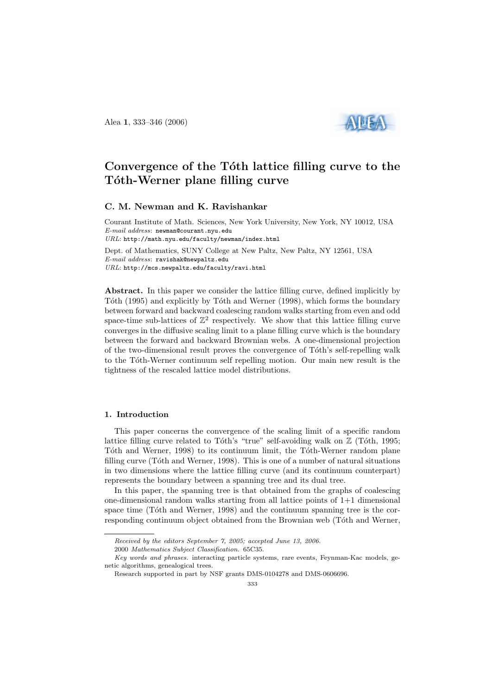Alea 1, 333–346 (2006)



# Convergence of the Tóth lattice filling curve to the Tóth-Werner plane filling curve

# C. M. Newman and K. Ravishankar

Courant Institute of Math. Sciences, New York University, New York, NY 10012, USA E-mail address: newman@courant.nyu.edu URL: http://math.nyu.edu/faculty/newman/index.html Dept. of Mathematics, SUNY College at New Paltz, New Paltz, NY 12561, USA E-mail address: ravishak@newpaltz.edu URL: http://mcs.newpaltz.edu/faculty/ravi.html

Abstract. In this paper we consider the lattice filling curve, defined implicitly by Tôth (1995) and explicitly by Tôth and Werner (1998), which forms the boundary between forward and backward coalescing random walks starting from even and odd space-time sub-lattices of  $\mathbb{Z}^2$  respectively. We show that this lattice filling curve converges in the diffusive scaling limit to a plane filling curve which is the boundary between the forward and backward Brownian webs. A one-dimensional projection of the two-dimensional result proves the convergence of T´oth's self-repelling walk to the Tóth-Werner continuum self repelling motion. Our main new result is the tightness of the rescaled lattice model distributions.

#### 1. Introduction

This paper concerns the convergence of the scaling limit of a specific random lattice filling curve related to Tôth's "true" self-avoiding walk on  $\mathbb Z$  (Tôth, 1995; Tôth and Werner, 1998) to its continuum limit, the Tôth-Werner random plane filling curve  $(Tóth and Werner, 1998)$ . This is one of a number of natural situations in two dimensions where the lattice filling curve (and its continuum counterpart) represents the boundary between a spanning tree and its dual tree.

In this paper, the spanning tree is that obtained from the graphs of coalescing one-dimensional random walks starting from all lattice points of 1+1 dimensional space time (Tóth and Werner, 1998) and the continuum spanning tree is the corresponding continuum object obtained from the Brownian web (Tóth and Werner,

Received by the editors September 7, 2005; accepted June 13, 2006.

<sup>2000</sup> Mathematics Subject Classification. 65C35.

Key words and phrases. interacting particle systems, rare events, Feynman-Kac models, genetic algorithms, genealogical trees.

Research supported in part by NSF grants DMS-0104278 and DMS-0606696.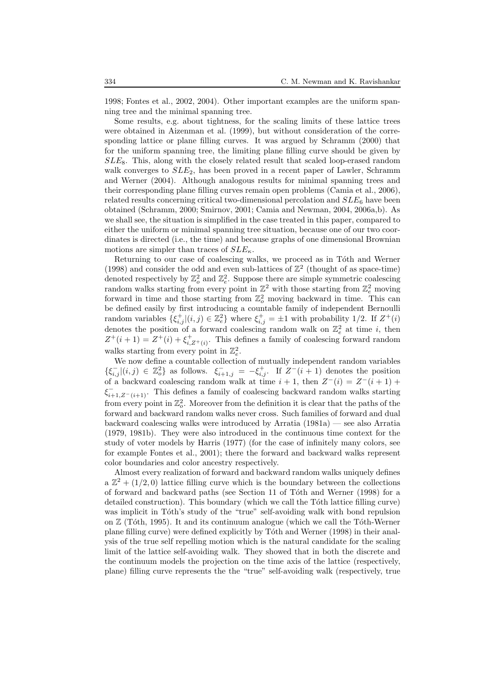1998; Fontes et al., 2002, 2004). Other important examples are the uniform spanning tree and the minimal spanning tree.

Some results, e.g. about tightness, for the scaling limits of these lattice trees were obtained in Aizenman et al. (1999), but without consideration of the corresponding lattice or plane filling curves. It was argued by Schramm (2000) that for the uniform spanning tree, the limiting plane filling curve should be given by  $SLE_8$ . This, along with the closely related result that scaled loop-erased random walk converges to  $SLE_2$ , has been proved in a recent paper of Lawler, Schramm and Werner (2004). Although analogous results for minimal spanning trees and their corresponding plane filling curves remain open problems (Camia et al., 2006), related results concerning critical two-dimensional percolation and  $SLE_6$  have been obtained (Schramm, 2000; Smirnov, 2001; Camia and Newman, 2004, 2006a,b). As we shall see, the situation is simplified in the case treated in this paper, compared to either the uniform or minimal spanning tree situation, because one of our two coordinates is directed (i.e., the time) and because graphs of one dimensional Brownian motions are simpler than traces of  $SLE_{\kappa}$ .

Returning to our case of coalescing walks, we proceed as in Tôth and Werner (1998) and consider the odd and even sub-lattices of  $\mathbb{Z}^2$  (thought of as space-time) denoted respectively by  $\mathbb{Z}_{o}^{2}$  and  $\mathbb{Z}_{e}^{2}$ . Suppose there are simple symmetric coalescing random walks starting from every point in  $\mathbb{Z}^2$  with those starting from  $\mathbb{Z}_e^2$  moving forward in time and those starting from  $\mathbb{Z}^2_o$  moving backward in time. This can be defined easily by first introducing a countable family of independent Bernoulli random variables  $\{\xi_{i,j}^+(i,j) \in \mathbb{Z}_e^2\}$  where  $\xi_{i,j}^+ = \pm 1$  with probability 1/2. If  $Z^+(i)$ denotes the position of a forward coalescing random walk on  $\mathbb{Z}_e^2$  at time *i*, then  $Z^+(i+1) = Z^+(i) + \xi_{i,Z^+(i)}^+$ . This defines a family of coalescing forward random walks starting from every point in  $\mathbb{Z}_e^2$ .

We now define a countable collection of mutually independent random variables  $\{\xi_{i,j}^-[(i,j)\in\mathbb{Z}_{o}^2\}$  as follows.  $\xi_{i+1,j}^- = -\xi_{i,j}^+$ . If  $Z^-(i+1)$  denotes the position of a backward coalescing random walk at time  $i + 1$ , then  $Z^-(i) = Z^-(i + 1)$  +  $\xi_{i+1,Z^-(i+1)}^-$ . This defines a family of coalescing backward random walks starting from every point in  $\mathbb{Z}_o^2$ . Moreover from the definition it is clear that the paths of the forward and backward random walks never cross. Such families of forward and dual backward coalescing walks were introduced by Arratia (1981a) — see also Arratia (1979, 1981b). They were also introduced in the continuous time context for the study of voter models by Harris (1977) (for the case of infinitely many colors, see for example Fontes et al., 2001); there the forward and backward walks represent color boundaries and color ancestry respectively.

Almost every realization of forward and backward random walks uniquely defines a  $\mathbb{Z}^2 + (1/2, 0)$  lattice filling curve which is the boundary between the collections of forward and backward paths (see Section 11 of Tóth and Werner (1998) for a detailed construction). This boundary (which we call the Tôth lattice filling curve) was implicit in Tóth's study of the "true" self-avoiding walk with bond repulsion on  $\mathbb Z$  (Tóth, 1995). It and its continuum analogue (which we call the Tóth-Werner plane filling curve) were defined explicitly by T´oth and Werner (1998) in their analysis of the true self repelling motion which is the natural candidate for the scaling limit of the lattice self-avoiding walk. They showed that in both the discrete and the continuum models the projection on the time axis of the lattice (respectively, plane) filling curve represents the the "true" self-avoiding walk (respectively, true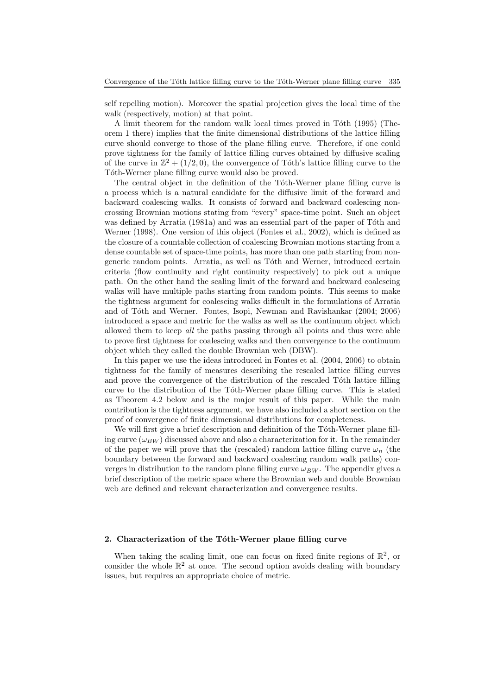self repelling motion). Moreover the spatial projection gives the local time of the walk (respectively, motion) at that point.

A limit theorem for the random walk local times proved in Toth (1995) (Theorem 1 there) implies that the finite dimensional distributions of the lattice filling curve should converge to those of the plane filling curve. Therefore, if one could prove tightness for the family of lattice filling curves obtained by diffusive scaling of the curve in  $\mathbb{Z}^2 + (1/2, 0)$ , the convergence of Tóth's lattice filling curve to the Tóth-Werner plane filling curve would also be proved.

The central object in the definition of the Toth-Werner plane filling curve is a process which is a natural candidate for the diffusive limit of the forward and backward coalescing walks. It consists of forward and backward coalescing noncrossing Brownian motions stating from "every" space-time point. Such an object was defined by Arratia (1981a) and was an essential part of the paper of Tôth and Werner (1998). One version of this object (Fontes et al., 2002), which is defined as the closure of a countable collection of coalescing Brownian motions starting from a dense countable set of space-time points, has more than one path starting from nongeneric random points. Arratia, as well as Tóth and Werner, introduced certain criteria (flow continuity and right continuity respectively) to pick out a unique path. On the other hand the scaling limit of the forward and backward coalescing walks will have multiple paths starting from random points. This seems to make the tightness argument for coalescing walks difficult in the formulations of Arratia and of Tóth and Werner. Fontes, Isopi, Newman and Ravishankar (2004; 2006) introduced a space and metric for the walks as well as the continuum object which allowed them to keep all the paths passing through all points and thus were able to prove first tightness for coalescing walks and then convergence to the continuum object which they called the double Brownian web (DBW).

In this paper we use the ideas introduced in Fontes et al. (2004, 2006) to obtain tightness for the family of measures describing the rescaled lattice filling curves and prove the convergence of the distribution of the rescaled Toth lattice filling curve to the distribution of the Toth-Werner plane filling curve. This is stated as Theorem 4.2 below and is the major result of this paper. While the main contribution is the tightness argument, we have also included a short section on the proof of convergence of finite dimensional distributions for completeness.

We will first give a brief description and definition of the Tóth-Werner plane filling curve  $(\omega_{BW})$  discussed above and also a characterization for it. In the remainder of the paper we will prove that the (rescaled) random lattice filling curve  $\omega_n$  (the boundary between the forward and backward coalescing random walk paths) converges in distribution to the random plane filling curve  $\omega_{BW}$ . The appendix gives a brief description of the metric space where the Brownian web and double Brownian web are defined and relevant characterization and convergence results.

### 2. Characterization of the Tóth-Werner plane filling curve

When taking the scaling limit, one can focus on fixed finite regions of  $\mathbb{R}^2$ , or consider the whole  $\mathbb{R}^2$  at once. The second option avoids dealing with boundary issues, but requires an appropriate choice of metric.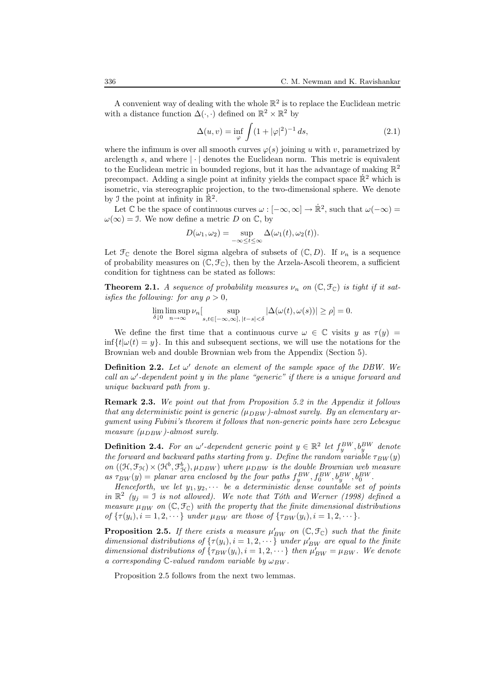A convenient way of dealing with the whole  $\mathbb{R}^2$  is to replace the Euclidean metric with a distance function  $\Delta(\cdot,\cdot)$  defined on  $\mathbb{R}^2 \times \mathbb{R}^2$  by

$$
\Delta(u, v) = \inf_{\varphi} \int (1 + |\varphi|^2)^{-1} ds,
$$
\n(2.1)

where the infimum is over all smooth curves  $\varphi(s)$  joining u with v, parametrized by arclength s, and where  $|\cdot|$  denotes the Euclidean norm. This metric is equivalent to the Euclidean metric in bounded regions, but it has the advantage of making  $\mathbb{R}^2$ precompact. Adding a single point at infinity yields the compact space  $\mathbb{R}^2$  which is isometric, via stereographic projection, to the two-dimensional sphere. We denote by J the point at infinity in  $\mathbb{R}^2$ .

Let  $\mathbb C$  be the space of continuous curves  $\omega : [-\infty, \infty] \to \mathbb R^2$ , such that  $\omega(-\infty) =$  $\omega(\infty) = 1$ . We now define a metric D on C, by

$$
D(\omega_1, \omega_2) = \sup_{-\infty \leq t \leq \infty} \Delta(\omega_1(t), \omega_2(t)).
$$

Let  $\mathfrak{F}_{\mathbb{C}}$  denote the Borel sigma algebra of subsets of  $(\mathbb{C}, D)$ . If  $\nu_n$  is a sequence of probability measures on  $(\mathbb{C}, \mathcal{F}_{\mathbb{C}})$ , then by the Arzela-Ascoli theorem, a sufficient condition for tightness can be stated as follows:

**Theorem 2.1.** A sequence of probability measures  $\nu_n$  on  $(\mathbb{C}, \mathcal{F}_{\mathbb{C}})$  is tight if it satisfies the following: for any  $\rho > 0$ .

$$
\lim_{\delta \downarrow 0} \limsup_{n \to \infty} \nu_n \big[ \sup_{s,t \in [-\infty,\infty], |t-s| < \delta} |\Delta(\omega(t),\omega(s))| \ge \rho \big] = 0.
$$

We define the first time that a continuous curve  $\omega \in \mathbb{C}$  visits y as  $\tau(y) =$  $\inf\{t|\omega(t)=y\}$ . In this and subsequent sections, we will use the notations for the Brownian web and double Brownian web from the Appendix (Section 5).

**Definition 2.2.** Let  $\omega'$  denote an element of the sample space of the DBW. We call an  $\omega'$ -dependent point y in the plane "generic" if there is a unique forward and unique backward path from y.

**Remark 2.3.** We point out that from Proposition 5.2 in the Appendix it follows that any deterministic point is generic  $(\mu_{DBW})$ -almost surely. By an elementary argument using Fubini's theorem it follows that non-generic points have zero Lebesgue measure  $(\mu_{DBW})$ -almost surely.

**Definition 2.4.** For an  $\omega'$ -dependent generic point  $y \in \mathbb{R}^2$  let  $f_y^{BW}$ ,  $b_y^{BW}$  denote the forward and backward paths starting from y. Define the random variable  $\tau_{BW}(y)$ on  $((\mathcal{H}, \mathcal{F}_{\mathcal{H}}) \times (\mathcal{H}^b, \mathcal{F}_{\mathcal{H}}^b), \mu_{DBW})$  where  $\mu_{DBW}$  is the double Brownian web measure as  $\tau_{BW}(y) = planar$  area enclosed by the four paths  $f_y^{BW}, f_0^{BW}, b_y^{BW}, b_0^{BW}$ .

Henceforth, we let  $y_1, y_2, \cdots$  be a deterministic dense countable set of points in  $\mathbb{R}^2$  ( $y_j = 1$  is not allowed). We note that Tóth and Werner (1998) defined a measure  $\mu_{BW}$  on  $(\mathbb{C}, \mathcal{F}_{\mathbb{C}})$  with the property that the finite dimensional distributions of  $\{\tau(y_i), i = 1, 2, \dots\}$  under  $\mu_{BW}$  are those of  $\{\tau_{BW}(y_i), i = 1, 2, \dots\}$ .

**Proposition 2.5.** If there exists a measure  $\mu'_{BW}$  on  $(\mathbb{C}, \mathcal{F}_{\mathbb{C}})$  such that the finite dimensional distributions of  $\{\tau(y_i), i = 1, 2, \dots\}$  under  $\mu'_{BW}$  are equal to the finite dimensional distributions of  $\{\tau_{BW}(y_i), i = 1, 2, \cdots\}$  then  $\mu'_{BW} = \mu_{BW}$ . We denote a corresponding  $\mathbb{C}\text{-valued random variable by }\omega_{BW}.$ 

Proposition 2.5 follows from the next two lemmas.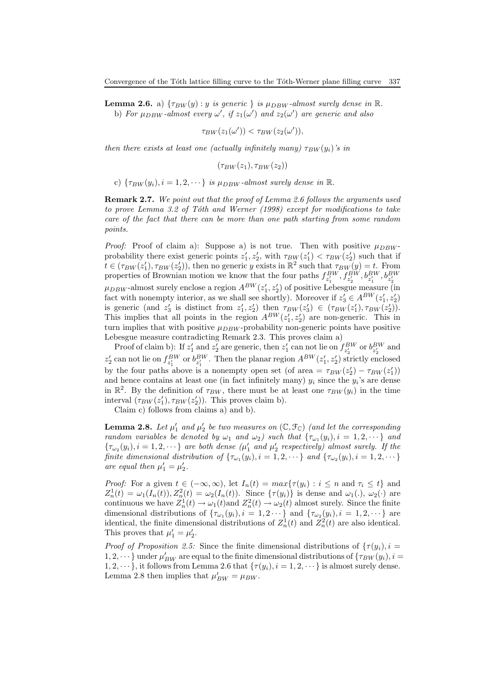**Lemma 2.6.** a)  $\{\tau_{BW}(y) : y \text{ is generic } \}$  is  $\mu_{DBW}$ -almost surely dense in  $\mathbb{R}$ . b) For  $\mu_{DBW}$ -almost every  $\omega'$ , if  $z_1(\omega')$  and  $z_2(\omega')$  are generic and also

$$
\tau_{BW}(z_1(\omega')) < \tau_{BW}(z_2(\omega')),
$$

then there exists at least one (actually infinitely many)  $\tau_{BW}(y_i)$ 's in

 $(\tau_{BW}(z_1), \tau_{BW}(z_2))$ 

c)  $\{\tau_{BW}(y_i), i = 1, 2, \cdots\}$  is  $\mu_{DBW}$ -almost surely dense in  $\mathbb{R}$ .

Remark 2.7. We point out that the proof of Lemma 2.6 follows the arguments used to prove Lemma 3.2 of Tóth and Werner (1998) except for modifications to take care of the fact that there can be more than one path starting from some random points.

*Proof:* Proof of claim a): Suppose a) is not true. Then with positive  $\mu_{DBW}$ probability there exist generic points  $z'_1, z'_2$ , with  $\tau_{BW}(z'_1) < \tau_{BW}(z'_2)$  such that if probability there exist generic points  $z_1, z_2$ , with  $T_B W(z_1) \le T_B W(z_2)$  such that in<br>  $t \in (\tau_{BW}(z'_1), \tau_{BW}(z'_2))$ , then no generic y exists in  $\mathbb{R}^2$  such that  $\tau_{BW}(y) = t$ . From properties of Brownian motion we know that the four paths  $f_{z'_1}^{BW}, f_{z'_2}^{BW}, b_{z'_1}^{BW}, b_{z'_2}^{BW}$  $\mu_{DBW}$ -almost surely enclose a region  $A^{BW}(z_1', z_2')$  of positive Lebesgue measure (in fact with nonempty interior, as we shall see shortly). Moreover if  $z'_3 \in A^{BW}(z'_1, z'_2)$ is generic (and  $z'_3$  is distinct from  $z'_1, z'_2$ ) then  $\tau_{BW}(z'_3) \in (\tau_{BW}(z'_1), \tau_{BW}(z'_2)).$ This implies that all points in the region  $A^{BW}(z'_1, z'_2)$  are non-generic. This in turn implies that with positive  $\mu_{DBW}$ -probability non-generic points have positive Lebesgue measure contradicting Remark 2.3. This proves claim a)

Proof of claim b): If  $z'_1$  and  $z'_2$  are generic, then  $z'_1$  can not lie on  $f_{z'_2}^{BW}$  or  $b_{z'_2}^{BW}$  and  $z_2'$  can not lie on  $f_{z_1'}^{BW}$  or  $b_{z_1'}^{BW}$ . Then the planar region  $A^{BW}(z_1', z_2')$  strictly enclosed by the four paths above is a nonempty open set (of area =  $\tau_{BW}(z_2') - \tau_{BW}(z_1')$ ) and hence contains at least one (in fact infinitely many)  $y_i$  since the  $y_i$ 's are dense in  $\mathbb{R}^2$ . By the definition of  $\tau_{BW}$ , there must be at least one  $\tau_{BW}(y_i)$  in the time interval  $(\tau_{BW}(z_1'), \tau_{BW}(z_2'))$ . This proves claim b).

Claim c) follows from claims a) and b).

**Lemma 2.8.** Let  $\mu'_1$  and  $\mu'_2$  be two measures on  $(\mathbb{C}, \mathcal{F}_{\mathbb{C}})$  (and let the corresponding random variables be denoted by  $\omega_1$  and  $\omega_2$ ) such that  $\{\tau_{\omega_1}(y_i), i = 1, 2, \cdots\}$  and  $\{\tau_{\omega_2}(y_i), i = 1, 2, \cdots\}$  are both dense  $(\mu'_1$  and  $\mu'_2$  respectively) almost surely. If the finite dimensional distribution of  $\{\tau_{\omega_1}(y_i), i = 1, 2, \dots\}$  and  $\{\tau_{\omega_2}(y_i), i = 1, 2, \dots\}$ are equal then  $\mu'_1 = \mu'_2$ .

*Proof:* For a given  $t \in (-\infty, \infty)$ , let  $I_n(t) = max\{\tau(y_i) : i \leq n \text{ and } \tau_i \leq t\}$  and  $Z_n^1(t) = \omega_1(I_n(t)), Z_n^2(t) = \omega_2(I_n(t)).$  Since  $\{\tau(y_i)\}\$ is dense and  $\omega_1(.)$ ,  $\omega_2(.)$  are continuous we have  $Z_n^1(t) \to \omega_1(t)$  and  $Z_n^2(t) \to \omega_2(t)$  almost surely. Since the finite dimensional distributions of  $\{\tau_{\omega_1}(y_i), i = 1, 2 \cdots\}$  and  $\{\tau_{\omega_2}(y_i), i = 1, 2, \cdots\}$  are identical, the finite dimensional distributions of  $Z_n^1(t)$  and  $Z_n^2(t)$  are also identical. This proves that  $\mu'_1 = \mu'_2$ .

*Proof of Proposition 2.5:* Since the finite dimensional distributions of  $\{\tau(y_i), i =$ 1, 2,  $\cdots$ } under  $\mu'_{BW}$  are equal to the finite dimensional distributions of  $\{\tau_{BW}(y_i), i =$  $1, 2, \dots$ }, it follows from Lemma 2.6 that  $\{\tau(y_i), i = 1, 2, \dots\}$  is almost surely dense. Lemma 2.8 then implies that  $\mu'_{BW} = \mu_{BW}$ .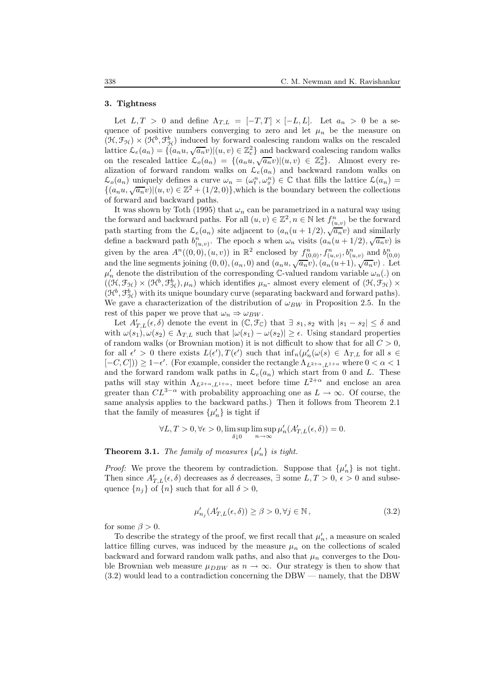## 3. Tightness

Let  $L, T > 0$  and define  $\Lambda_{T,L} = [-T, T] \times [-L, L]$ . Let  $a_n > 0$  be a sequence of positive numbers converging to zero and let  $\mu_n$  be the measure on  $(\mathfrak{H}, \mathfrak{F}_{\mathfrak{H}}) \times (\mathfrak{H}^b, \mathfrak{F}_{\mathfrak{H}}^b)$  induced by forward coalescing random walks on the rescaled lattice  $\mathcal{L}_e(a_n) = \{ (a_n u, \sqrt{a_n} v) | (u, v) \in \mathbb{Z}_e^2 \}$  and backward coalescing random walks on the rescaled lattice  $\mathcal{L}_o(a_n) = \{(a_n u, \sqrt{a_n} v) | (u, v) \in \mathbb{Z}_o^2\}$ . Almost every realization of forward random walks on  $\mathcal{L}_e(a_n)$  and backward random walks on  $\mathcal{L}_o(a_n)$  uniquely defines a curve  $\omega_n = (\omega_t^n, \omega_x^n) \in \mathbb{C}$  that fills the lattice  $\mathcal{L}(a_n) =$  $\{(a_nu, \sqrt{a_n}v) | (u, v) \in \mathbb{Z}^2 + (1/2, 0)\}\,$ , which is the boundary between the collections of forward and backward paths.

It was shown by Toth (1995) that  $\omega_n$  can be parametrized in a natural way using the forward and backward paths. For all  $(u, v) \in \mathbb{Z}^2$ ,  $n \in \mathbb{N}$  let  $f_{(u, v)}^n$  be the forward path starting from the  $\mathcal{L}_e(a_n)$  site adjacent to  $(a_n(u+1/2), \sqrt{a_n}v)$  and similarly define a backward path  $b_{(u,v)}^n$ . The epoch s when  $\omega_n$  visits  $(a_n(u+1/2), \sqrt{a_n}v)$  is given by the area  $A^n((0,0),(u,v))$  in  $\mathbb{R}^2$  enclosed by  $f_{(0,0)}^n, f_{(u,v)}^n, b_{(u,v)}^n$  and  $b_{(0,0)}^n$ <br>and the line segments joining  $(0,0),(a_n,0)$  and  $(a_nu,\sqrt{a_n}v),(a_n(u+1),\sqrt{a_n}v)$ . Let  $\mu'_n$  denote the distribution of the corresponding C-valued random variable  $\omega_n(.)$  on  $((\mathfrak{H}, \mathfrak{F}_{\mathfrak{H}}) \times (\mathfrak{H}^b, \mathfrak{F}_{\mathfrak{H}}^b), \mu_n)$  which identifies  $\mu_n$ - almost every element of  $(\mathfrak{H}, \mathfrak{F}_{\mathfrak{H}}) \times$  $(\mathcal{H}^b, \mathcal{F}_{\mathcal{H}}^b)$  with its unique boundary curve (separating backward and forward paths). We gave a characterization of the distribution of  $\omega_{BW}$  in Proposition 2.5. In the rest of this paper we prove that  $\omega_n \Rightarrow \omega_{BW}$ .

Let  $A'_{T,L}(\epsilon, \delta)$  denote the event in  $(\mathbb{C}, \mathcal{F}_{\mathbb{C}})$  that  $\exists s_1, s_2$  with  $|s_1 - s_2| \leq \delta$  and with  $\omega(s_1), \omega(s_2) \in \Lambda_{T,L}$  such that  $|\omega(s_1) - \omega(s_2)| \ge \epsilon$ . Using standard properties of random walks (or Brownian motion) it is not difficult to show that for all  $C > 0$ , for all  $\epsilon' > 0$  there exists  $L(\epsilon'), T(\epsilon')$  such that  $\inf_n(\mu'_n(\omega(s) \in \Lambda_{T,L}$  for all  $s \in$  $[-C, C])$ ) ≥ 1- $\epsilon'$ . (For example, consider the rectangle  $\Lambda_{L^{2+\alpha}, L^{1+\alpha}}$  where  $0 < \alpha < 1$ and the forward random walk paths in  $\mathcal{L}_e(a_n)$  which start from 0 and L. These paths will stay within  $\Lambda_{L^{2+\alpha},L^{1+\alpha}}$ , meet before time  $L^{2+\alpha}$  and enclose an area greater than  $CL^{3-\alpha}$  with probability approaching one as  $L \to \infty$ . Of course, the same analysis applies to the backward paths.) Then it follows from Theorem 2.1 that the family of measures  $\{\mu'_n\}$  is tight if

$$
\forall L, T > 0, \forall \epsilon > 0, \limsup_{\delta \downarrow 0} \limsup_{n \to \infty} \mu'_n(A'_{T,L}(\epsilon, \delta)) = 0.
$$

**Theorem 3.1.** The family of measures  $\{\mu'_n\}$  is tight.

*Proof:* We prove the theorem by contradiction. Suppose that  $\{\mu'_n\}$  is not tight. Then since  $A'_{T,L}(\epsilon, \delta)$  decreases as  $\delta$  decreases,  $\exists$  some  $L, T > 0$ ,  $\epsilon > 0$  and subsequence  $\{n_j\}$  of  $\{n\}$  such that for all  $\delta > 0$ ,

$$
\mu'_{n_j}(A'_{T,L}(\epsilon,\delta)) \ge \beta > 0, \forall j \in \mathbb{N},\tag{3.2}
$$

for some  $\beta > 0$ .

To describe the strategy of the proof, we first recall that  $\mu_n'$ , a measure on scaled lattice filling curves, was induced by the measure  $\mu_n$  on the collections of scaled backward and forward random walk paths, and also that  $\mu_n$  converges to the Double Brownian web measure  $\mu_{DBW}$  as  $n \to \infty$ . Our strategy is then to show that (3.2) would lead to a contradiction concerning the DBW — namely, that the DBW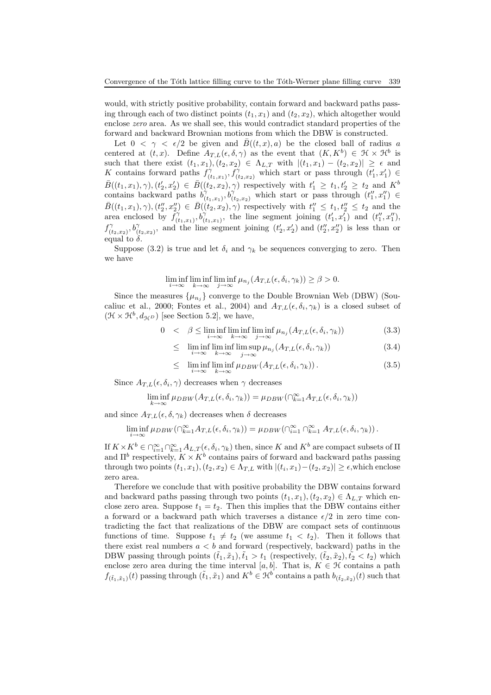would, with strictly positive probability, contain forward and backward paths passing through each of two distinct points  $(t_1, x_1)$  and  $(t_2, x_2)$ , which altogether would enclose zero area. As we shall see, this would contradict standard properties of the forward and backward Brownian motions from which the DBW is constructed.

Let  $0 < \gamma < \epsilon/2$  be given and  $\bar{B}((t, x), a)$  be the closed ball of radius a centered at  $(t, x)$ . Define  $A_{T,L}(\epsilon, \delta, \gamma)$  as the event that  $(K, K^b) \in \mathcal{H} \times \mathcal{H}^b$  is such that there exist  $(t_1, x_1), (t_2, x_2) \in \Lambda_{L,T}$  with  $|(t_1, x_1) - (t_2, x_2)| \geq \epsilon$  and K contains forward paths  $f_{\mu}^{\gamma}$  $(\gamma_{(t_1,x_1)}^{\gamma}, f(\gamma_{(t_2,x_2)}^{\gamma})$  which start or pass through  $(t'_1, x'_1) \in$  $\bar{B}((t_1,x_1),\gamma),(t'_2,x'_2) \in \bar{B}((t_2,x_2),\gamma)$  respectively with  $t'_1 \geq t_1,t'_2 \geq t_2$  and  $K^b$ contains backward paths  $b_0^{\gamma}$  $(\gamma(t_1,x_1),\widetilde{b_{(t_2,x_2)}})$  which start or pass through  $(t_1'',x_1'') \in$  $\bar{B}((t_1,x_1),\gamma),(t''_2,x''_2) \in \bar{B}((t_2,x_2),\gamma)$  respectively with  $t''_1 \leq t_1,t''_2 \leq t_2$  and the area enclosed by  $f_{\theta}^{\gamma}$  $\widetilde{b}_{(t_1,x_1)}^{\gamma}, b_{(t)}^{\gamma}$  $\begin{pmatrix} \gamma \\ (t_1,x_1) \end{pmatrix}$ , the line segment joining  $(t'_1,x'_1)$  and  $(t''_1,x''_1)$ ,  $f^\gamma_{\scriptscriptstyle (t)}$  $(\check{\sigma}_{(t_2,x_2)},\check{b}^{\gamma}_{(t_2,x_2)})$  $\begin{pmatrix} \gamma \\ (t_2,x_2) \end{pmatrix}$ , and the line segment joining  $(t'_2, x'_2)$  and  $(t''_2, x''_2)$  is less than or equal to  $\delta$ .

Suppose (3.2) is true and let  $\delta_i$  and  $\gamma_k$  be sequences converging to zero. Then we have

$$
\liminf_{i \to \infty} \liminf_{k \to \infty} \liminf_{j \to \infty} \mu_{n_j}(A_{T,L}(\epsilon, \delta_i, \gamma_k)) \ge \beta > 0.
$$

Since the measures  $\{\mu_{n_j}\}$  converge to the Double Brownian Web (DBW) (Soucaliuc et al., 2000; Fontes et al., 2004) and  $A_{T,L}(\epsilon, \delta_i, \gamma_k)$  is a closed subset of  $(\mathcal{H} \times \mathcal{H}^b, d_{\mathcal{H}^D})$  [see Section 5.2], we have,

$$
0 < \beta \le \liminf_{i \to \infty} \liminf_{k \to \infty} \liminf_{j \to \infty} \mu_{n_j}(A_{T,L}(\epsilon, \delta_i, \gamma_k)) \tag{3.3}
$$

$$
\leq \liminf_{i \to \infty} \liminf_{k \to \infty} \limsup_{j \to \infty} \mu_{n_j}(A_{T,L}(\epsilon, \delta_i, \gamma_k)) \tag{3.4}
$$

$$
\leq \liminf_{i \to \infty} \liminf_{k \to \infty} \mu_{DBW}(A_{T,L}(\epsilon, \delta_i, \gamma_k)). \tag{3.5}
$$

Since  $A_{T,L}(\epsilon, \delta_i, \gamma)$  decreases when  $\gamma$  decreases

$$
\liminf_{k \to \infty} \mu_{DBW}(A_{T,L}(\epsilon, \delta_i, \gamma_k)) = \mu_{DBW}(\bigcap_{k=1}^{\infty} A_{T,L}(\epsilon, \delta_i, \gamma_k))
$$

and since  $A_{T,L}(\epsilon, \delta, \gamma_k)$  decreases when  $\delta$  decreases

$$
\liminf_{i \to \infty} \mu_{DBW}(\bigcap_{k=1}^{\infty} A_{T,L}(\epsilon,\delta_i,\gamma_k)) = \mu_{DBW}(\bigcap_{i=1}^{\infty} \bigcap_{k=1}^{\infty} A_{T,L}(\epsilon,\delta_i,\gamma_k)).
$$

If  $K \times K^b \in \bigcap_{i=1}^{\infty} \bigcap_{k=1}^{\infty} A_{L,T}(\epsilon, \delta_i, \gamma_k)$  then, since K and  $K^b$  are compact subsets of  $\Pi$ and  $\Pi^b$  respectively,  $K \times K^b$  contains pairs of forward and backward paths passing through two points  $(t_1, x_1), (t_2, x_2) \in \Lambda_{T,L}$  with  $|(t_i, x_1) - (t_2, x_2)| \geq \epsilon$ , which enclose zero area.

Therefore we conclude that with positive probability the DBW contains forward and backward paths passing through two points  $(t_1, x_1), (t_2, x_2) \in \Lambda_{L,T}$  which enclose zero area. Suppose  $t_1 = t_2$ . Then this implies that the DBW contains either a forward or a backward path which traverses a distance  $\epsilon/2$  in zero time contradicting the fact that realizations of the DBW are compact sets of continuous functions of time. Suppose  $t_1 \neq t_2$  (we assume  $t_1 < t_2$ ). Then it follows that there exist real numbers  $a < b$  and forward (respectively, backward) paths in the DBW passing through points  $(\tilde{t}_1, \tilde{x}_1), \tilde{t}_1 > t_1$  (respectively,  $(\tilde{t}_2, \tilde{x}_2), \tilde{t}_2 < t_2$ ) which enclose zero area during the time interval [a, b]. That is,  $K \in \mathcal{H}$  contains a path  $f_{(\tilde{t}_1,\tilde{x}_1)}(t)$  passing through  $(\tilde{t}_1,\tilde{x}_1)$  and  $K^b \in \mathcal{H}^b$  contains a path  $b_{(\tilde{t}_2,\tilde{x}_2)}(t)$  such that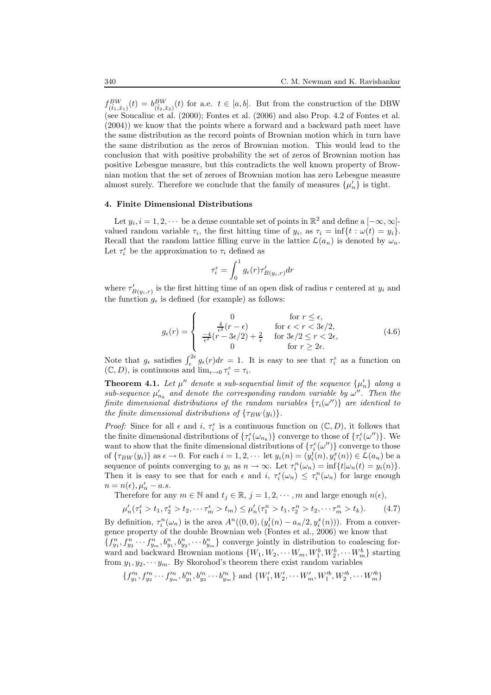$f_{(\tilde{t}_1,\tilde{x}_1)}^{BW}(t) = b_{(\tilde{t}_2,\tilde{x}_2)}^{BW}(t)$  for a.e.  $t \in [a,b]$ . But from the construction of the DBW (see Soucaliuc et al. (2000); Fontes et al. (2006) and also Prop. 4.2 of Fontes et al. (2004)) we know that the points where a forward and a backward path meet have the same distribution as the record points of Brownian motion which in turn have the same distribution as the zeros of Brownian motion. This would lead to the conclusion that with positive probability the set of zeros of Brownian motion has positive Lebesgue measure, but this contradicts the well known property of Brownian motion that the set of zeroes of Brownian motion has zero Lebesgue measure almost surely. Therefore we conclude that the family of measures  $\{\mu'_n\}$  is tight.

#### 4. Finite Dimensional Distributions

Let  $y_i, i = 1, 2, \dots$  be a dense countable set of points in  $\mathbb{R}^2$  and define a  $[-\infty, \infty]$ valued random variable  $\tau_i$ , the first hitting time of  $y_i$ , as  $\tau_i = \inf\{t : \omega(t) = y_i\}.$ Recall that the random lattice filling curve in the lattice  $\mathcal{L}(a_n)$  is denoted by  $\omega_n$ . Let  $\tau_i^{\epsilon}$  be the approximation to  $\tau_i$  defined as

$$
\tau_i^\epsilon = \int_0^1 g_\epsilon(r) \tau_{B(y_i,r)}' dr
$$

where  $\tau'_{B(y_i,r)}$  is the first hitting time of an open disk of radius r centered at  $y_i$  and the function  $g_{\epsilon}$  is defined (for example) as follows:

$$
g_{\epsilon}(r) = \begin{cases} 0 & \text{for } r \leq \epsilon, \\ \frac{4}{\epsilon^2}(r - \epsilon) & \text{for } \epsilon < r < 3\epsilon/2, \\ \frac{-4}{\epsilon^2}(r - 3\epsilon/2) + \frac{2}{\epsilon} & \text{for } 3\epsilon/2 \leq r < 2\epsilon, \\ 0 & \text{for } r \geq 2\epsilon. \end{cases}
$$
(4.6)

Note that  $g_{\epsilon}$  satisfies  $\int_{\epsilon}^{2\epsilon} g_{\epsilon}(r) dr = 1$ . It is easy to see that  $\tau_i^{\epsilon}$  as a function on  $(\mathbb{C}, D)$ , is continuous and  $\lim_{\epsilon \to 0} \tau_i^{\epsilon} = \tau_i$ .

**Theorem 4.1.** Let  $\mu''$  denote a sub-sequential limit of the sequence  $\{\mu'_n\}$  along a sub-sequence  $\mu'_{n_k}$  and denote the corresponding random variable by  $\omega''$ . Then the finite dimensional distributions of the random variables  $\{\tau_i(\omega'')\}$  are identical to the finite dimensional distributions of  $\{\tau_{BW}(y_i)\}.$ 

*Proof:* Since for all  $\epsilon$  and  $i$ ,  $\tau_i^{\epsilon}$  is a continuous function on  $(\mathbb{C}, D)$ , it follows that the finite dimensional distributions of  $\{\tau_i^{\epsilon}(\omega_{n_k})\}$  converge to those of  $\{\tau_i^{\epsilon}(\omega'')\}$ . We want to show that the finite dimensional distributions of  $\{\tau_i^{\epsilon}(\omega'')\}$  converge to those of  $\{\tau_{BW}(y_i)\}\$ as  $\epsilon \to 0$ . For each  $i = 1, 2, \cdots$  let  $y_i(n) = (y_i^t(n), y_i^x(n)) \in \mathcal{L}(a_n)$  be a sequence of points converging to  $y_i$  as  $n \to \infty$ . Let  $\tau_i^n(\omega_n) = \inf\{t | \omega_n(t) = y_i(n)\}.$ Then it is easy to see that for each  $\epsilon$  and  $i, \tau_i^{\epsilon}(\omega_n) \leq \tau_i^n(\omega_n)$  for large enough  $n = n(\epsilon), \mu'_n - a.s.$ 

Therefore for any  $m \in \mathbb{N}$  and  $t_j \in \mathbb{R}$ ,  $j = 1, 2, \dots, m$  and large enough  $n(\epsilon)$ ,

$$
\mu'_n(\tau_1^{\epsilon} > t_1, \tau_2^{\epsilon} > t_2, \cdots \tau_m^{\epsilon} > t_m) \le \mu'_n(\tau_1^n > t_1, \tau_2^n > t_2, \cdots \tau_m^n > t_k). \tag{4.7}
$$

By definition,  $\tau_i^n(\omega_n)$  is the area  $A^n((0,0), (y_i^t(n) - a_n/2, y_i^x(n)))$ . From a convergence property of the double Brownian web (Fontes et al., 2006) we know that  $\{f_{y_1}^n, f_{y_2}^n \cdots f_{y_m}^n, b_{y_1}^n, b_{y_2}^n, \cdots b_{y_m}^n\}$  converge jointly in distribution to coalescing forward and backward Brownian motions  $\{W_1, W_2, \cdots W_m, W_1^b, W_2^b, \cdots W_m^b\}$  starting

from  $y_1, y_2, \dots, y_m$ . By Skorohod's theorem there exist random variables

$$
\{f_{y_1}^{\prime n}, f_{y_2}^{\prime n} \cdots f_{y_m}^{\prime n}, b_{y_1}^{\prime n}, b_{y_2}^{\prime n} \cdots b_{y_m}^{\prime n}\} \text{ and } \{W_1^{\prime}, W_2^{\prime}, \cdots W_m^{\prime}, W_1^{\prime b}, W_2^{\prime b}, \cdots W_m^{\prime b}\}
$$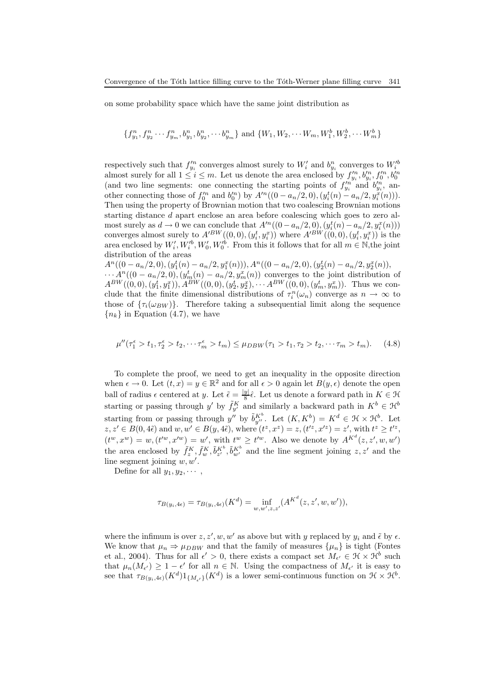on some probability space which have the same joint distribution as

$$
\{f_{y_1}^n, f_{y_2}^n \cdots f_{y_m}^n, b_{y_1}^n, b_{y_2}^n, \cdots b_{y_m}^n\} \text{ and } \{W_1, W_2, \cdots W_m, W_1^b, W_2^b, \cdots W_m^b\}
$$

respectively such that  $f_{y_i}^m$  converges almost surely to  $W_i'$  and  $b_{y_i}^n$  converges to  $W_i'^b$  almost surely for all  $1 \le i \le m$ . Let us denote the area enclosed by  $f_{y_i}^m, b_{y_i}^m, f_0'^m, b_0'^n$  (and two line segments: other connecting those of  $f_0'^n$  and  $b_0'^n$ ) by  $A'^n((0 - a_n/2, 0), (y_i^t(n) - a_n/2, y_i^x(n)))$ . Then using the property of Brownian motion that two coalescing Brownian motions starting distance d apart enclose an area before coalescing which goes to zero almost surely as  $d \to 0$  we can conclude that  $A^{\prime n}((0 - a_n/2, 0), (y_i^t(n) - a_n/2, y_i^x(n)))$ converges almost surely to  $A^{\prime BW}((0,0),(y_i^t, y_i^x))$  where  $A^{\prime BW}((0,0),(y_i^t, y_i^x))$  is the area enclosed by  $W'_i, W'_i, W'_0, W'^b_0$ . From this it follows that for all  $m \in \mathbb{N}$ , the joint distribution of the areas

 $A<sup>n</sup>((0 - a<sub>n</sub>/2, 0), (y<sub>1</sub><sup>t</sup>(n) - a<sub>n</sub>/2, y<sub>1</sub><sup>x</sup>(n))), A<sup>n</sup>((0 - a<sub>n</sub>/2, 0), (y<sub>2</sub><sup>t</sup>(n) - a<sub>n</sub>/2, y<sub>2</sub><sup>x</sup>(n)),$  $\cdots$   $A^n((0-a_n/2,0),(y_m^t(n)-a_n/2,y_m^x(n))$  converges to the joint distribution of  $A^{BW}((0,0),(y_1^t, y_1^x)), A^{BW}((0,0),(y_2^t, y_2^x), \cdots A^{BW}((0,0),(y_m^t, y_m^x)).$  Thus we conclude that the finite dimensional distributions of  $\tau_i^n(\omega_n)$  converge as  $n \to \infty$  to those of  $\{\tau_i(\omega_{BW})\}$ . Therefore taking a subsequential limit along the sequence  ${n_k}$  in Equation (4.7), we have

$$
\mu''(\tau_1^{\epsilon} > t_1, \tau_2^{\epsilon} > t_2, \cdots \tau_m^{\epsilon} > t_m) \le \mu_{DBW}(\tau_1 > t_1, \tau_2 > t_2, \cdots \tau_m > t_m). \tag{4.8}
$$

To complete the proof, we need to get an inequality in the opposite direction when  $\epsilon \to 0$ . Let  $(t, x) = y \in \mathbb{R}^2$  and for all  $\epsilon > 0$  again let  $B(y, \epsilon)$  denote the open ball of radius  $\epsilon$  centered at y. Let  $\tilde{\epsilon} = \frac{|y|}{8}$  $\frac{y}{8}$  $\hat{\epsilon}$ . Let us denote a forward path in  $K \in \mathcal{H}$ starting or passing through y' by  $\tilde{f}_{y'}^K$  and similarly a backward path in  $K^b \in \mathcal{H}^b$ starting from or passing through y'' by  $\tilde{b}_{y''}^{K^b}$ . Let  $(K, K^b) = K^d \in \mathcal{H} \times \mathcal{H}^b$ . Let  $z, z' \in B(0, 4\tilde{\epsilon})$  and  $w, w' \in B(y, 4\tilde{\epsilon})$ , where  $(t^z, x^z) = z$ ,  $(t'^z, x'^z) = z'$ , with  $t^z \ge t'^z$ ,  $(t^w, x^w) = w, (t^w, x^w) = w'$ , with  $t^w \geq t^w$ . Also we denote by  $A^{K^d}(z, z', w, w')$ the area enclosed by  $\tilde{f}_z^K$ ,  $\tilde{f}_w^K$ ,  $\tilde{b}_{z'}^{K^b}$ ,  $\tilde{b}_{w'}^{K^b}$  and the line segment joining  $z, z'$  and the line segment joining  $w, w'$ .

Define for all  $y_1, y_2, \cdots$ ,

$$
\tau_{B(y_i, 4\epsilon)} = \tau_{B(y_i, 4\epsilon)}(K^d) = \inf_{w, w', z, z'} (A^{K^d}(z, z', w, w')),
$$

where the infimum is over  $z, z', w, w'$  as above but with y replaced by  $y_i$  and  $\tilde{\epsilon}$  by  $\epsilon$ . We know that  $\mu_n \Rightarrow \mu_{DBW}$  and that the family of measures  $\{\mu_n\}$  is tight (Fontes et al., 2004). Thus for all  $\epsilon' > 0$ , there exists a compact set  $M_{\epsilon'} \in \mathcal{H} \times \mathcal{H}^b$  such that  $\mu_n(M_{\epsilon'}) \geq 1 - \epsilon'$  for all  $n \in \mathbb{N}$ . Using the compactness of  $M_{\epsilon'}$  it is easy to see that  $\tau_{B(y_i, 4\epsilon)}(K^d)1_{\{M_{\epsilon'}\}}(K^d)$  is a lower semi-continuous function on  $\mathfrak{H} \times \mathfrak{H}^b$ .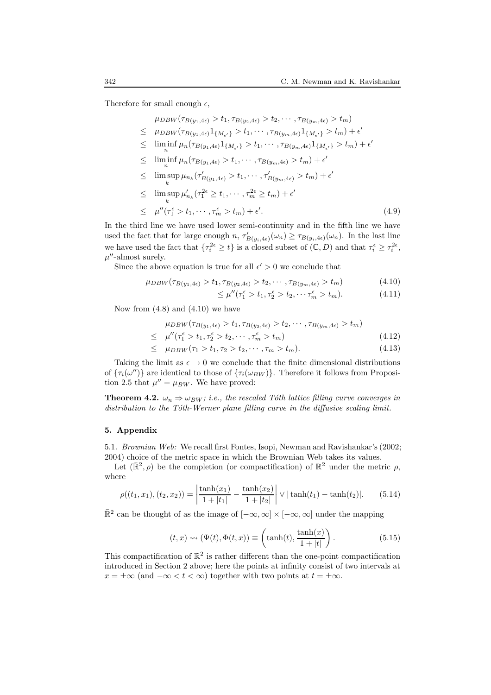Therefore for small enough  $\epsilon$ ,

| $\mu_{DBW}(\tau_{B(y_1, 4\epsilon)} > t_1, \tau_{B(y_2, 4\epsilon)} > t_2, \cdots, \tau_{B(y_m, 4\epsilon)} > t_m)$                                      |       |
|----------------------------------------------------------------------------------------------------------------------------------------------------------|-------|
| $\leq \mu_{DBW}(\tau_{B(y_1, 4\epsilon)} 1_{\{M_{\epsilon'}\}} > t_1, \cdots, \tau_{B(y_m, 4\epsilon)} 1_{\{M_{\epsilon'}\}} > t_m) + \epsilon'$         |       |
| $\leq \liminf_{n} \mu_n(\tau_{B(y_1, 4\epsilon)} 1_{\{M_{\epsilon'}\}} > t_1, \cdots, \tau_{B(y_m, 4\epsilon)} 1_{\{M_{\epsilon'}\}} > t_m) + \epsilon'$ |       |
| $\leq \liminf_{n} \mu_n(\tau_{B(y_1, 4\epsilon)} > t_1, \cdots, \tau_{B(y_m, 4\epsilon)} > t_m) + \epsilon'$                                             |       |
| $\leq \limsup_{h} \mu_{n_k}(\tau'_{B(y_1, 4\epsilon)} > t_1, \cdots, \tau'_{B(y_m, 4\epsilon)} > t_m) + \epsilon'$                                       |       |
| $\leq$ $\limsup \mu'_{n_k}(\tau_1^{2\epsilon} \geq t_1, \cdots, \tau_m^{2\epsilon} \geq t_m) + \epsilon'$                                                |       |
| $\leq \mu''(\tau_1^{\epsilon} > t_1, \cdots, \tau_m^{\epsilon} > t_m) + \epsilon'.$                                                                      | (4.9) |

In the third line we have used lower semi-continuity and in the fifth line we have used the fact that for large enough  $n, \tau'_{B(y_i, 4\epsilon)}(\omega_n) \ge \tau_{B(y_i, 4\epsilon)}(\omega_n)$ . In the last line we have used the fact that  $\{\tau_i^{2\epsilon} \geq t\}$  is a closed subset of  $(\mathbb{C}, D)$  and that  $\tau_i^{\epsilon} \geq \tau_i^{2\epsilon}$ ,  $\mu$ "-almost surely.

Since the above equation is true for all  $\epsilon' > 0$  we conclude that

$$
\mu_{DBW}(\tau_{B(y_1, 4\epsilon)} > t_1, \tau_{B(y_2, 4\epsilon)} > t_2, \cdots, \tau_{B(y_m, 4\epsilon)} > t_m) \tag{4.10}
$$

$$
\leq \mu''(\tau_1^{\epsilon} > t_1, \tau_2^{\epsilon} > t_2, \cdots \tau_m^{\epsilon} > t_m). \tag{4.11}
$$

Now from  $(4.8)$  and  $(4.10)$  we have

$$
\mu_{DBW}(\tau_{B(y_1, 4\epsilon)} > t_1, \tau_{B(y_2, 4\epsilon)} > t_2, \cdots, \tau_{B(y_m, 4\epsilon)} > t_m)
$$
  
\n
$$
\leq \mu''(\tau_1^{\epsilon} > t_1, \tau_2^{\epsilon} > t_2, \cdots, \tau_m^{\epsilon} > t_m)
$$
\n(4.12)

$$
\leq \mu_{DBW}(\tau_1 > t_1, \tau_2 > t_2, \cdots, \tau_m > t_m). \tag{4.13}
$$

Taking the limit as  $\epsilon \to 0$  we conclude that the finite dimensional distributions of  $\{\tau_i(\omega'')\}$  are identical to those of  $\{\tau_i(\omega_{BW})\}$ . Therefore it follows from Proposition 2.5 that  $\mu'' = \mu_{BW}$ . We have proved:

**Theorem 4.2.**  $\omega_n \Rightarrow \omega_{BW}$ ; i.e., the rescaled Tóth lattice filling curve converges in distribution to the Tóth-Werner plane filling curve in the diffusive scaling limit.

#### 5. Appendix

5.1. Brownian Web: We recall first Fontes, Isopi, Newman and Ravishankar's (2002; 2004) choice of the metric space in which the Brownian Web takes its values.

Let  $(\mathbb{R}^2, \rho)$  be the completion (or compactification) of  $\mathbb{R}^2$  under the metric  $\rho$ , where

$$
\rho((t_1, x_1), (t_2, x_2)) = \left| \frac{\tanh(x_1)}{1 + |t_1|} - \frac{\tanh(x_2)}{1 + |t_2|} \right| \vee |\tanh(t_1) - \tanh(t_2)|. \tag{5.14}
$$

 $\mathbb{R}^2$  can be thought of as the image of  $[-\infty, \infty] \times [-\infty, \infty]$  under the mapping

$$
(t, x) \rightsquigarrow (\Psi(t), \Phi(t, x)) \equiv \left(\tanh(t), \frac{\tanh(x)}{1 + |t|}\right). \tag{5.15}
$$

This compactification of  $\mathbb{R}^2$  is rather different than the one-point compactification introduced in Section 2 above; here the points at infinity consist of two intervals at  $x = \pm \infty$  (and  $-\infty < t < \infty$ ) together with two points at  $t = \pm \infty$ .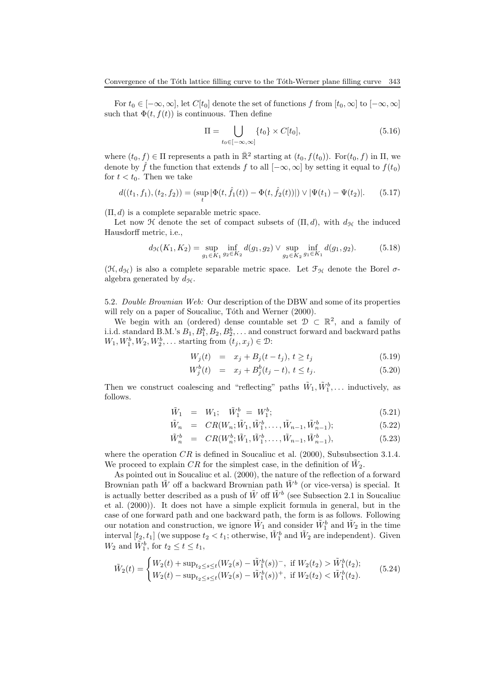For  $t_0 \in [-\infty, \infty]$ , let  $C[t_0]$  denote the set of functions f from  $[t_0, \infty]$  to  $[-\infty, \infty]$ such that  $\Phi(t, f(t))$  is continuous. Then define

$$
\Pi = \bigcup_{t_0 \in [-\infty, \infty]} \{t_0\} \times C[t_0],\tag{5.16}
$$

where  $(t_0, f) \in \Pi$  represents a path in  $\mathbb{R}^2$  starting at  $(t_0, f(t_0))$ . For $(t_0, f)$  in  $\Pi$ , we denote by  $\hat{f}$  the function that extends f to all  $[-\infty, \infty]$  by setting it equal to  $f(t_0)$ for  $t < t_0$ . Then we take

$$
d((t_1, f_1), (t_2, f_2)) = (\sup_t |\Phi(t, \hat{f}_1(t)) - \Phi(t, \hat{f}_2(t))|) \vee |\Psi(t_1) - \Psi(t_2)|.
$$
 (5.17)

 $(\Pi, d)$  is a complete separable metric space.

Let now H denote the set of compact subsets of  $(\Pi, d)$ , with  $d_{\mathcal{H}}$  the induced Hausdorff metric, i.e.,

$$
d_{\mathcal{H}}(K_1, K_2) = \sup_{g_1 \in K_1} \inf_{g_2 \in K_2} d(g_1, g_2) \vee \sup_{g_2 \in K_2} \inf_{g_1 \in K_1} d(g_1, g_2). \tag{5.18}
$$

 $(\mathfrak{H}, d_{\mathfrak{H}})$  is also a complete separable metric space. Let  $\mathfrak{F}_{\mathfrak{H}}$  denote the Borel  $\sigma$ algebra generated by  $d_{\mathcal{H}}$ .

5.2. Double Brownian Web: Our description of the DBW and some of its properties will rely on a paper of Soucaliuc, Tóth and Werner (2000).

We begin with an (ordered) dense countable set  $\mathcal{D} \subset \mathbb{R}^2$ , and a family of i.i.d. standard B.M.'s  $B_1, B_1^b, B_2, B_2^b, \ldots$  and construct forward and backward paths  $W_1, W_1^b, W_2, W_2^b, \ldots$  starting from  $(t_j, x_j) \in \mathcal{D}$ :

$$
W_j(t) = x_j + B_j(t - t_j), t \ge t_j
$$
\n(5.19)

$$
W_j^b(t) = x_j + B_j^b(t_j - t), \ t \le t_j. \tag{5.20}
$$

Then we construct coalescing and "reflecting" paths  $\tilde{W}_1, \tilde{W}_1^b, \ldots$  inductively, as follows.

$$
\tilde{W}_1 = W_1; \quad \tilde{W}_1^b = W_1^b; \tag{5.21}
$$

$$
\tilde{W}_n = CR(W_n; \tilde{W}_1, \tilde{W}_1^b, \dots, \tilde{W}_{n-1}, \tilde{W}_{n-1}^b);
$$
\n(5.22)

$$
\tilde{W}_n^b = CR(W_n^b; \tilde{W}_1, \tilde{W}_1^b, \dots, \tilde{W}_{n-1}, \tilde{W}_{n-1}^b),
$$
\n(5.23)

where the operation  $CR$  is defined in Soucaliuc et al. (2000), Subsubsection 3.1.4. We proceed to explain CR for the simplest case, in the definition of  $\tilde{W}_2$ .

As pointed out in Soucaliuc et al. (2000), the nature of the reflection of a forward Brownian path  $\tilde{W}$  off a backward Brownian path  $\tilde{W}^b$  (or vice-versa) is special. It is actually better described as a push of  $\tilde{W}$  off  $\tilde{W}^b$  (see Subsection 2.1 in Soucaliuc et al. (2000)). It does not have a simple explicit formula in general, but in the case of one forward path and one backward path, the form is as follows. Following our notation and construction, we ignore  $\tilde{W}_1$  and consider  $\tilde{W}_1^b$  and  $\tilde{W}_2$  in the time interval  $[t_2, t_1]$  (we suppose  $t_2 < t_1$ ; otherwise,  $\tilde{W}_1^b$  and  $\tilde{W}_2$  are independent). Given  $W_2$  and  $\tilde{W}_1^b$ , for  $t_2 \le t \le t_1$ ,

$$
\tilde{W}_2(t) = \begin{cases} W_2(t) + \sup_{t_2 \le s \le t} (W_2(s) - \tilde{W}_1^b(s))^-, & \text{if } W_2(t_2) > \tilde{W}_1^b(t_2); \\ W_2(t) - \sup_{t_2 \le s \le t} (W_2(s) - \tilde{W}_1^b(s))^+, & \text{if } W_2(t_2) < \tilde{W}_1^b(t_2). \end{cases} \tag{5.24}
$$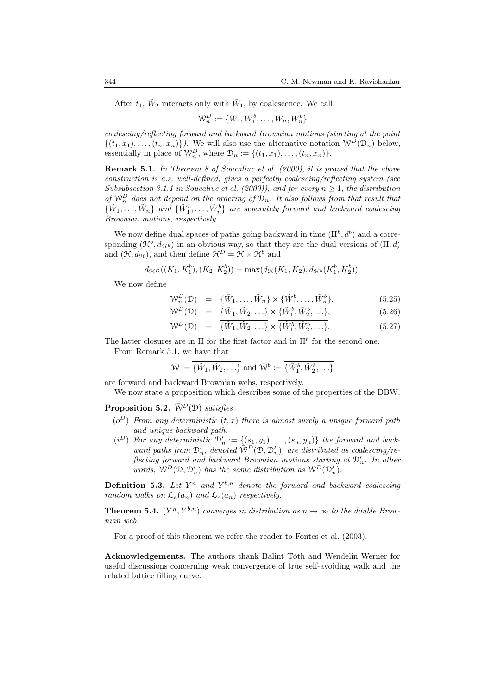After  $t_1$ ,  $\tilde{W}_2$  interacts only with  $\tilde{W}_1$ , by coalescence. We call

$$
\mathcal{W}_n^D := \{ \tilde{W}_1, \tilde{W}_1^b, \dots, \tilde{W}_n, \tilde{W}_n^b \}
$$

coalescing/reflecting forward and backward Brownian motions (starting at the point  $\{(t_1, x_1), \ldots, (t_n, x_n)\}\)$ . We will also use the alternative notation  $\mathcal{W}^D(\mathcal{D}_n)$  below, essentially in place of  $\mathcal{W}_n^D$ , where  $\mathcal{D}_n := \{(t_1, x_1), \ldots, (t_n, x_n)\}.$ 

Remark 5.1. In Theorem 8 of Soucaliuc et al. (2000), it is proved that the above construction is a.s. well-defined, gives a perfectly coalescing/reflecting system (see Subsubsection 3.1.1 in Soucaliuc et al. (2000)), and for every  $n \geq 1$ , the distribution of  $\mathcal{W}_n^D$  does not depend on the ordering of  $\mathcal{D}_n$ . It also follows from that result that  $\{\tilde{W}_1,\ldots,\tilde{W}_n\}$  and  $\{\tilde{W}_1^b,\ldots,\tilde{W}_n^b\}$  are separately forward and backward coalescing Brownian motions, respectively.

We now define dual spaces of paths going backward in time  $(\Pi^b, d^b)$  and a corresponding  $(\mathcal{H}^b, d_{\mathcal{H}^b})$  in an obvious way, so that they are the dual versions of  $(\Pi, d)$ and  $(\mathcal{H}, d_{\mathcal{H}})$ , and then define  $\mathcal{H}^D = \mathcal{H} \times \mathcal{H}^b$  and

$$
d_{\mathcal{H}^D}((K_1, K_1^b), (K_2, K_2^b)) = \max(d_{\mathcal{H}}(K_1, K_2), d_{\mathcal{H}^b}(K_1^b, K_2^b)).
$$

We now define

$$
\mathcal{W}_n^D(\mathcal{D}) = {\tilde{W}_1, \dots, \tilde{W}_n} \times {\tilde{W}_1^b, \dots, \tilde{W}_n^b},
$$
\n(5.25)

$$
\mathcal{W}^D(\mathcal{D}) = {\tilde{W}_1, \tilde{W}_2, \ldots} \times {\tilde{W}_1^b, \tilde{W}_2^b, \ldots}, \qquad (5.26)
$$

$$
\overline{W}^D(\mathcal{D}) = \overline{\{\tilde{W}_1, \tilde{W}_2, \ldots\}} \times \overline{\{\tilde{W}_1^b, \tilde{W}_2^b, \ldots\}}.
$$
\n(5.27)

The latter closures are in  $\Pi$  for the first factor and in  $\Pi^b$  for the second one. From Remark 5.1, we have that

$$
\bar{W} := {\tilde{W}_1, \tilde{W}_2, \ldots}
$$
 and  $\bar{W}^b := {\tilde{W}_1^b, \tilde{W}_2^b, \ldots}$ 

are forward and backward Brownian webs, respectively.

We now state a proposition which describes some of the properties of the DBW.

**Proposition 5.2.**  $\bar{W}^D(\mathcal{D})$  satisfies

- $(o^D)$  From any deterministic  $(t, x)$  there is almost surely a unique forward path and unique backward path.
- $(i^D)$  For any deterministic  $\mathcal{D}'_n := \{ (s_1, y_1), \ldots, (s_n, y_n) \}$  the forward and backward paths from  $\mathcal{D}'_n$ , denoted  $\overline{\mathcal{W}}^D(\mathcal{D}, \mathcal{D}'_n)$ , are distributed as coalescing/reflecting forward and backward Brownian motions starting at  $\mathcal{D}'_n$ . In other words,  $\mathcal{W}^D(\mathcal{D}, \mathcal{D}'_n)$  has the same distribution as  $\mathcal{W}^D(\mathcal{D}'_n)$ .

**Definition 5.3.** Let  $Y^n$  and  $Y^{b,n}$  denote the forward and backward coalescing random walks on  $\mathcal{L}_e(a_n)$  and  $\mathcal{L}_o(a_n)$  respectively.

**Theorem 5.4.**  $(Y^n, Y^{b,n})$  converges in distribution as  $n \to \infty$  to the double Brownian web.

For a proof of this theorem we refer the reader to Fontes et al. (2003).

Acknowledgements. The authors thank Balint Tóth and Wendelin Werner for useful discussions concerning weak convergence of true self-avoiding walk and the related lattice filling curve.